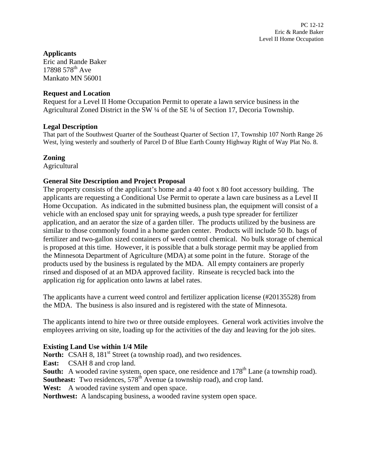# **Applicants**

Eric and Rande Baker  $17898578^{th}$  Ave Mankato MN 56001

## **Request and Location**

Request for a Level II Home Occupation Permit to operate a lawn service business in the Agricultural Zoned District in the SW ¼ of the SE ¼ of Section 17, Decoria Township.

## **Legal Description**

That part of the Southwest Quarter of the Southeast Quarter of Section 17, Township 107 North Range 26 West, lying westerly and southerly of Parcel D of Blue Earth County Highway Right of Way Plat No. 8.

# **Zoning**

**Agricultural** 

# **General Site Description and Project Proposal**

The property consists of the applicant's home and a 40 foot x 80 foot accessory building. The applicants are requesting a Conditional Use Permit to operate a lawn care business as a Level II Home Occupation. As indicated in the submitted business plan, the equipment will consist of a vehicle with an enclosed spay unit for spraying weeds, a push type spreader for fertilizer application, and an aerator the size of a garden tiller. The products utilized by the business are similar to those commonly found in a home garden center. Products will include 50 lb. bags of fertilizer and two-gallon sized containers of weed control chemical. No bulk storage of chemical is proposed at this time. However, it is possible that a bulk storage permit may be applied from the Minnesota Department of Agriculture (MDA) at some point in the future. Storage of the products used by the business is regulated by the MDA. All empty containers are properly rinsed and disposed of at an MDA approved facility. Rinseate is recycled back into the application rig for application onto lawns at label rates.

The applicants have a current weed control and fertilizer application license (#20135528) from the MDA. The business is also insured and is registered with the state of Minnesota.

The applicants intend to hire two or three outside employees. General work activities involve the employees arriving on site, loading up for the activities of the day and leaving for the job sites.

## **Existing Land Use within 1/4 Mile**

North: CSAH 8, 181<sup>st</sup> Street (a township road), and two residences.

East: CSAH 8 and crop land.

**South:** A wooded ravine system, open space, one residence and 178<sup>th</sup> Lane (a township road). **Southeast:** Two residences, 578<sup>th</sup> Avenue (a township road), and crop land.

**West:** A wooded ravine system and open space.

**Northwest:** A landscaping business, a wooded ravine system open space.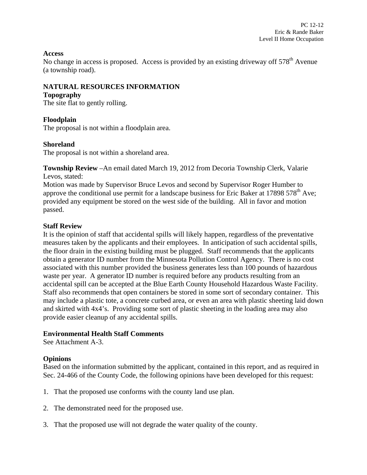#### **Access**

No change in access is proposed. Access is provided by an existing driveway off 578<sup>th</sup> Avenue (a township road).

## **NATURAL RESOURCES INFORMATION**

#### **Topography**

The site flat to gently rolling.

#### **Floodplain**

The proposal is not within a floodplain area.

## **Shoreland**

The proposal is not within a shoreland area.

**Township Review** –An email dated March 19, 2012 from Decoria Township Clerk, Valarie Levos, stated:

Motion was made by Supervisor Bruce Levos and second by Supervisor Roger Humber to approve the conditional use permit for a landscape business for Eric Baker at 17898  $578<sup>th</sup>$  Ave; provided any equipment be stored on the west side of the building. All in favor and motion passed.

#### **Staff Review**

It is the opinion of staff that accidental spills will likely happen, regardless of the preventative measures taken by the applicants and their employees. In anticipation of such accidental spills, the floor drain in the existing building must be plugged. Staff recommends that the applicants obtain a generator ID number from the Minnesota Pollution Control Agency. There is no cost associated with this number provided the business generates less than 100 pounds of hazardous waste per year. A generator ID number is required before any products resulting from an accidental spill can be accepted at the Blue Earth County Household Hazardous Waste Facility. Staff also recommends that open containers be stored in some sort of secondary container. This may include a plastic tote, a concrete curbed area, or even an area with plastic sheeting laid down and skirted with 4x4's. Providing some sort of plastic sheeting in the loading area may also provide easier cleanup of any accidental spills.

## **Environmental Health Staff Comments**

See Attachment A-3.

## **Opinions**

Based on the information submitted by the applicant, contained in this report, and as required in Sec. 24-466 of the County Code, the following opinions have been developed for this request:

- 1. That the proposed use conforms with the county land use plan.
- 2. The demonstrated need for the proposed use.
- 3. That the proposed use will not degrade the water quality of the county.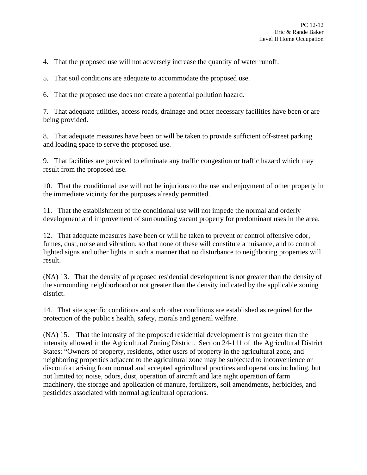4. That the proposed use will not adversely increase the quantity of water runoff.

5. That soil conditions are adequate to accommodate the proposed use.

6. That the proposed use does not create a potential pollution hazard.

7. That adequate utilities, access roads, drainage and other necessary facilities have been or are being provided.

8. That adequate measures have been or will be taken to provide sufficient off-street parking and loading space to serve the proposed use.

9. That facilities are provided to eliminate any traffic congestion or traffic hazard which may result from the proposed use.

10. That the conditional use will not be injurious to the use and enjoyment of other property in the immediate vicinity for the purposes already permitted.

11. That the establishment of the conditional use will not impede the normal and orderly development and improvement of surrounding vacant property for predominant uses in the area.

12. That adequate measures have been or will be taken to prevent or control offensive odor, fumes, dust, noise and vibration, so that none of these will constitute a nuisance, and to control lighted signs and other lights in such a manner that no disturbance to neighboring properties will result.

(NA) 13. That the density of proposed residential development is not greater than the density of the surrounding neighborhood or not greater than the density indicated by the applicable zoning district.

14. That site specific conditions and such other conditions are established as required for the protection of the public's health, safety, morals and general welfare.

(NA) 15. That the intensity of the proposed residential development is not greater than the intensity allowed in the Agricultural Zoning District. Section 24-111 of the Agricultural District States: "Owners of property, residents, other users of property in the agricultural zone, and neighboring properties adjacent to the agricultural zone may be subjected to inconvenience or discomfort arising from normal and accepted agricultural practices and operations including, but not limited to; noise, odors, dust, operation of aircraft and late night operation of farm machinery, the storage and application of manure, fertilizers, soil amendments, herbicides, and pesticides associated with normal agricultural operations.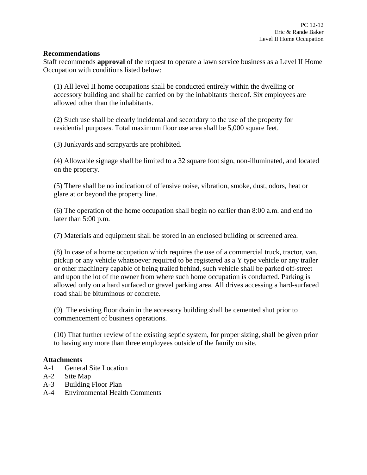#### **Recommendations**

Staff recommends **approval** of the request to operate a lawn service business as a Level II Home Occupation with conditions listed below:

(1) All level II home occupations shall be conducted entirely within the dwelling or accessory building and shall be carried on by the inhabitants thereof. Six employees are allowed other than the inhabitants.

(2) Such use shall be clearly incidental and secondary to the use of the property for residential purposes. Total maximum floor use area shall be 5,000 square feet.

(3) Junkyards and scrapyards are prohibited.

(4) Allowable signage shall be limited to a 32 square foot sign, non-illuminated, and located on the property.

(5) There shall be no indication of offensive noise, vibration, smoke, dust, odors, heat or glare at or beyond the property line.

(6) The operation of the home occupation shall begin no earlier than 8:00 a.m. and end no later than 5:00 p.m.

(7) Materials and equipment shall be stored in an enclosed building or screened area.

(8) In case of a home occupation which requires the use of a commercial truck, tractor, van, pickup or any vehicle whatsoever required to be registered as a Y type vehicle or any trailer or other machinery capable of being trailed behind, such vehicle shall be parked off-street and upon the lot of the owner from where such home occupation is conducted. Parking is allowed only on a hard surfaced or gravel parking area. All drives accessing a hard-surfaced road shall be bituminous or concrete.

(9) The existing floor drain in the accessory building shall be cemented shut prior to commencement of business operations.

(10) That further review of the existing septic system, for proper sizing, shall be given prior to having any more than three employees outside of the family on site.

## **Attachments**

- A-1 General Site Location
- A-2 Site Map
- A-3 Building Floor Plan
- A-4 Environmental Health Comments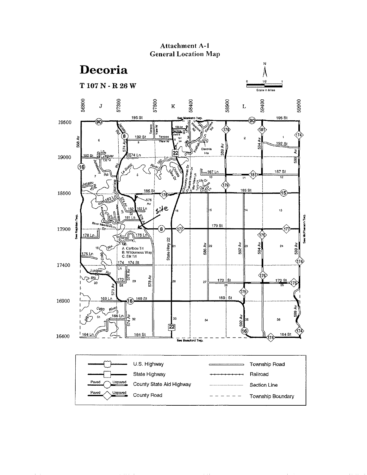

## **Attachment A-1 General Location Map**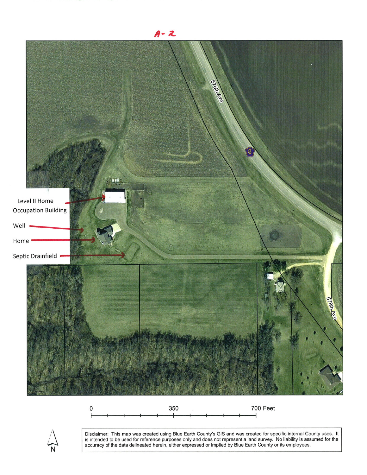

350 700 Feet $\mathbf 0$ 



Disclaimer: This map was created using Blue Earth County's GIS and was created for specific internal County uses. lt is intended to be used for reference purposes only and does not represent a land survey. No liability is assumed for the accuracy of the data delineated herein, either expressed or implied by Blue Earth Counþ or ¡ts employees.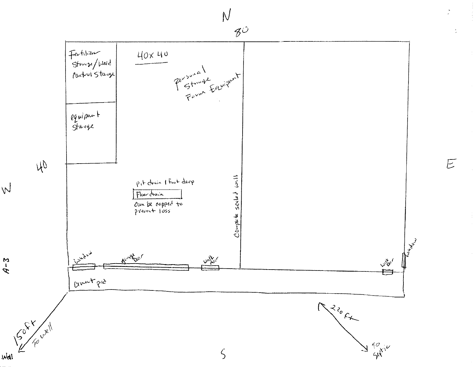

 $\overline{\varepsilon}$